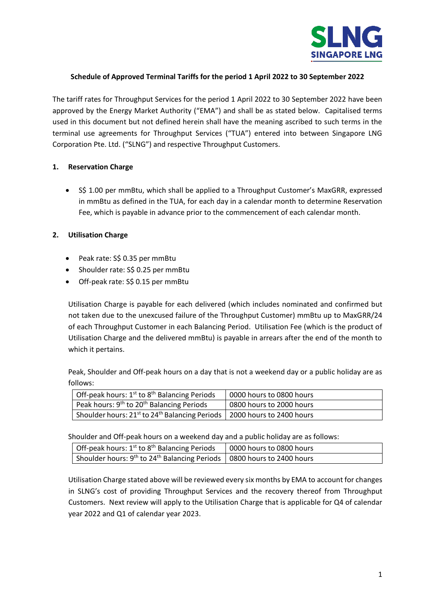

# **Schedule of Approved Terminal Tariffs for the period 1 April 2022 to 30 September 2022**

The tariff rates for Throughput Services for the period 1 April 2022 to 30 September 2022 have been approved by the Energy Market Authority ("EMA") and shall be as stated below. Capitalised terms used in this document but not defined herein shall have the meaning ascribed to such terms in the terminal use agreements for Throughput Services ("TUA") entered into between Singapore LNG Corporation Pte. Ltd. ("SLNG") and respective Throughput Customers.

## **1. Reservation Charge**

• S\$ 1.00 per mmBtu, which shall be applied to a Throughput Customer's MaxGRR, expressed in mmBtu as defined in the TUA, for each day in a calendar month to determine Reservation Fee, which is payable in advance prior to the commencement of each calendar month.

## **2. Utilisation Charge**

- Peak rate: S\$ 0.35 per mmBtu
- Shoulder rate: S\$ 0.25 per mmBtu
- Off-peak rate: S\$ 0.15 per mmBtu

Utilisation Charge is payable for each delivered (which includes nominated and confirmed but not taken due to the unexcused failure of the Throughput Customer) mmBtu up to MaxGRR/24 of each Throughput Customer in each Balancing Period. Utilisation Fee (which is the product of Utilisation Charge and the delivered mmBtu) is payable in arrears after the end of the month to which it pertains.

Peak, Shoulder and Off-peak hours on a day that is not a weekend day or a public holiday are as follows:

| Off-peak hours: $1^{st}$ to $8^{th}$ Balancing Periods                              | 0000 hours to 0800 hours |
|-------------------------------------------------------------------------------------|--------------------------|
| Peak hours: 9 <sup>th</sup> to 20 <sup>th</sup> Balancing Periods                   | 0800 hours to 2000 hours |
| Shoulder hours: $21^{st}$ to $24^{th}$ Balancing Periods   2000 hours to 2400 hours |                          |

Shoulder and Off-peak hours on a weekend day and a public holiday are as follows:

| <sup>1</sup> Off-peak hours: 1 <sup>st</sup> to 8 <sup>th</sup> Balancing Periods                | 0000 hours to 0800 hours |
|--------------------------------------------------------------------------------------------------|--------------------------|
| Shoulder hours: 9 <sup>th</sup> to 24 <sup>th</sup> Balancing Periods   0800 hours to 2400 hours |                          |

Utilisation Charge stated above will be reviewed every six months by EMA to account for changes in SLNG's cost of providing Throughput Services and the recovery thereof from Throughput Customers. Next review will apply to the Utilisation Charge that is applicable for Q4 of calendar year 2022 and Q1 of calendar year 2023.